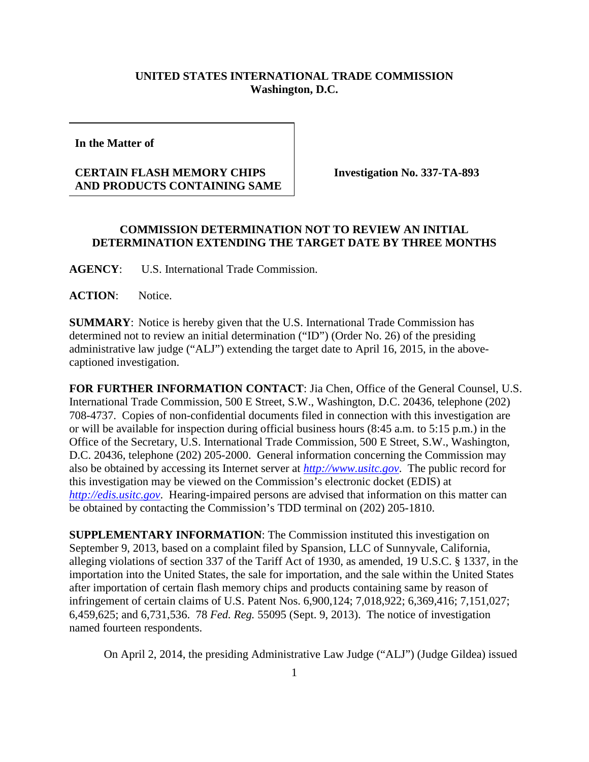## **UNITED STATES INTERNATIONAL TRADE COMMISSION Washington, D.C.**

**In the Matter of** 

## **CERTAIN FLASH MEMORY CHIPS AND PRODUCTS CONTAINING SAME**

**Investigation No. 337-TA-893**

## **COMMISSION DETERMINATION NOT TO REVIEW AN INITIAL DETERMINATION EXTENDING THE TARGET DATE BY THREE MONTHS**

**AGENCY**: U.S. International Trade Commission.

**ACTION**: Notice.

**SUMMARY**: Notice is hereby given that the U.S. International Trade Commission has determined not to review an initial determination ("ID") (Order No. 26) of the presiding administrative law judge ("ALJ") extending the target date to April 16, 2015, in the abovecaptioned investigation.

**FOR FURTHER INFORMATION CONTACT**: Jia Chen, Office of the General Counsel, U.S. International Trade Commission, 500 E Street, S.W., Washington, D.C. 20436, telephone (202) 708-4737. Copies of non-confidential documents filed in connection with this investigation are or will be available for inspection during official business hours (8:45 a.m. to 5:15 p.m.) in the Office of the Secretary, U.S. International Trade Commission, 500 E Street, S.W., Washington, D.C. 20436, telephone (202) 205-2000. General information concerning the Commission may also be obtained by accessing its Internet server at *[http://www.usitc.gov](http://www.usitc.gov/)*. The public record for this investigation may be viewed on the Commission's electronic docket (EDIS) at *[http://edis.usitc.gov](http://edis.usitc.gov/)*. Hearing-impaired persons are advised that information on this matter can be obtained by contacting the Commission's TDD terminal on (202) 205-1810.

**SUPPLEMENTARY INFORMATION**: The Commission instituted this investigation on September 9, 2013, based on a complaint filed by Spansion, LLC of Sunnyvale, California, alleging violations of section 337 of the Tariff Act of 1930, as amended, 19 U.S.C. § 1337, in the importation into the United States, the sale for importation, and the sale within the United States after importation of certain flash memory chips and products containing same by reason of infringement of certain claims of U.S. Patent Nos. 6,900,124; 7,018,922; 6,369,416; 7,151,027; 6,459,625; and 6,731,536. 78 *Fed. Reg.* 55095 (Sept. 9, 2013).The notice of investigation named fourteen respondents.

On April 2, 2014, the presiding Administrative Law Judge ("ALJ") (Judge Gildea) issued